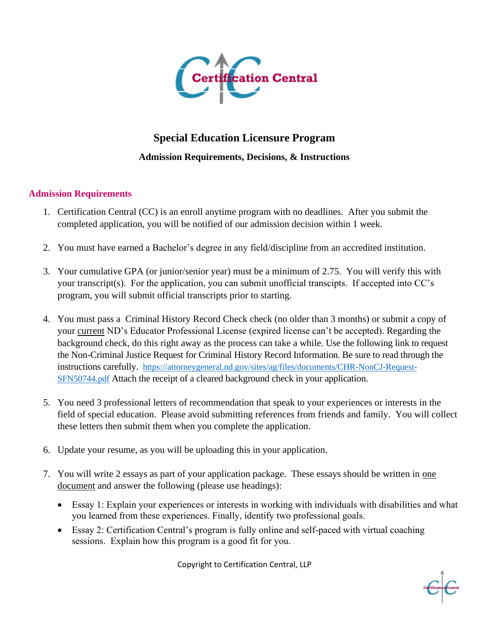

## **Special Education Licensure Program Admission Requirements, Decisions, & Instructions**

## **Admission Requirements**

- 1. Certification Central (CC) is an enroll anytime program with no deadlines. After you submit the completed application, you will be notified of our admission decision within 1 week.
- 2. You must have earned a Bachelor's degree in any field/discipline from an accredited institution.
- 3. Your cumulative GPA (or junior/senior year) must be a minimum of 2.75. You will verify this with your transcript(s). For the application, you can submit unofficial transcipts. If accepted into CC's program, you will submit official transcripts prior to starting.
- 4. You must pass a Criminal History Record Check check (no older than 3 months) or submit a copy of your current ND's Educator Professional License (expired license can't be accepted). Regarding the background check, do this right away as the process can take a while. Use the following link to request the Non-Criminal Justice Request for Criminal History Record Information. Be sure to read through the instructions carefully. [https://attorneygeneral.nd.gov/sites/ag/files/documents/CHR-NonCJ-Request-](https://attorneygeneral.nd.gov/sites/ag/files/documents/CHR-NonCJ-Request-SFN50744.pdf)[SFN50744.pdf](https://attorneygeneral.nd.gov/sites/ag/files/documents/CHR-NonCJ-Request-SFN50744.pdf) Attach the receipt of a cleared background check in your application.
- 5. You need 3 professional letters of recommendation that speak to your experiences or interests in the field of special education. Please avoid submitting references from friends and family. You will collect these letters then submit them when you complete the application.
- 6. Update your resume, as you will be uploading this in your application.
- 7. You will write 2 essays as part of your application package. These essays should be written in one document and answer the following (please use headings):
	- Essay 1: Explain your experiences or interests in working with individuals with disabilities and what you learned from these experiences. Finally, identify two professional goals.
	- Essay 2: Certification Central's program is fully online and self-paced with virtual coaching sessions. Explain how this program is a good fit for you.

Copyright to Certification Central, LLP